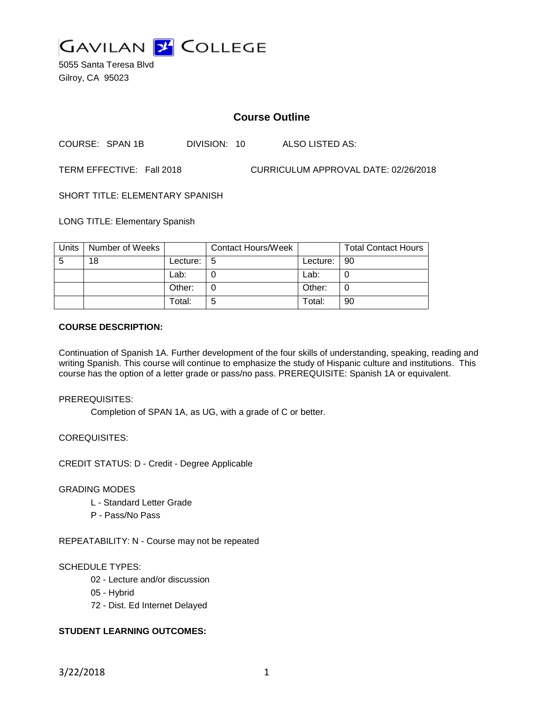

5055 Santa Teresa Blvd Gilroy, CA 95023

# **Course Outline**

COURSE: SPAN 1B DIVISION: 10 ALSO LISTED AS:

TERM EFFECTIVE: Fall 2018 CURRICULUM APPROVAL DATE: 02/26/2018

SHORT TITLE: ELEMENTARY SPANISH

LONG TITLE: Elementary Spanish

| Units | Number of Weeks |          | <b>Contact Hours/Week</b> |               | <b>Total Contact Hours</b> |
|-------|-----------------|----------|---------------------------|---------------|----------------------------|
| -5    | 18              | Lecture: | l 5                       | Lecture:   90 |                            |
|       |                 | Lab:     |                           | Lab:          |                            |
|       |                 | Other:   |                           | Other:        |                            |
|       |                 | Total:   | 5                         | Total:        | 90                         |

#### **COURSE DESCRIPTION:**

Continuation of Spanish 1A. Further development of the four skills of understanding, speaking, reading and writing Spanish. This course will continue to emphasize the study of Hispanic culture and institutions. This course has the option of a letter grade or pass/no pass. PREREQUISITE: Spanish 1A or equivalent.

PREREQUISITES:

Completion of SPAN 1A, as UG, with a grade of C or better.

COREQUISITES:

CREDIT STATUS: D - Credit - Degree Applicable

#### GRADING MODES

- L Standard Letter Grade
- P Pass/No Pass

REPEATABILITY: N - Course may not be repeated

#### SCHEDULE TYPES:

- 02 Lecture and/or discussion
- 05 Hybrid
- 72 Dist. Ed Internet Delayed

# **STUDENT LEARNING OUTCOMES:**

3/22/2018 1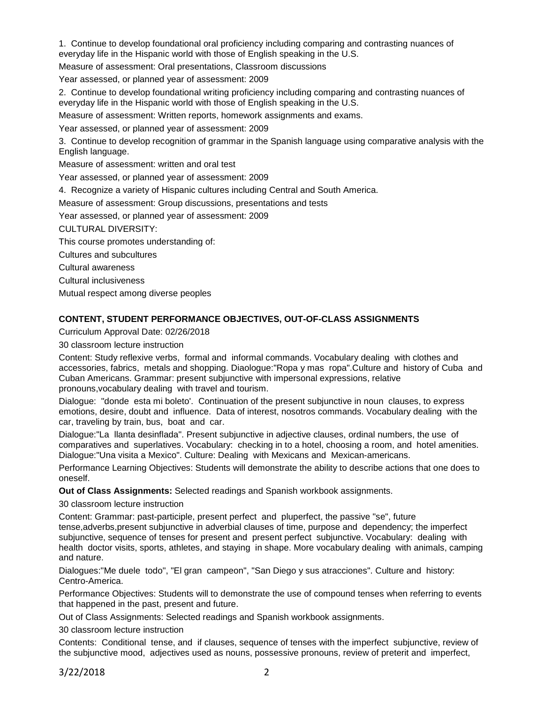1. Continue to develop foundational oral proficiency including comparing and contrasting nuances of everyday life in the Hispanic world with those of English speaking in the U.S.

Measure of assessment: Oral presentations, Classroom discussions

Year assessed, or planned year of assessment: 2009

2. Continue to develop foundational writing proficiency including comparing and contrasting nuances of everyday life in the Hispanic world with those of English speaking in the U.S.

Measure of assessment: Written reports, homework assignments and exams.

Year assessed, or planned year of assessment: 2009

3. Continue to develop recognition of grammar in the Spanish language using comparative analysis with the English language.

Measure of assessment: written and oral test

Year assessed, or planned year of assessment: 2009

4. Recognize a variety of Hispanic cultures including Central and South America.

Measure of assessment: Group discussions, presentations and tests

Year assessed, or planned year of assessment: 2009

CULTURAL DIVERSITY:

This course promotes understanding of:

Cultures and subcultures

Cultural awareness

Cultural inclusiveness

Mutual respect among diverse peoples

#### **CONTENT, STUDENT PERFORMANCE OBJECTIVES, OUT-OF-CLASS ASSIGNMENTS**

Curriculum Approval Date: 02/26/2018

30 classroom lecture instruction

Content: Study reflexive verbs, formal and informal commands. Vocabulary dealing with clothes and accessories, fabrics, metals and shopping. Diaologue:"Ropa y mas ropa".Culture and history of Cuba and Cuban Americans. Grammar: present subjunctive with impersonal expressions, relative pronouns,vocabulary dealing with travel and tourism.

Dialogue: "donde esta mi boleto'. Continuation of the present subjunctive in noun clauses, to express emotions, desire, doubt and influence. Data of interest, nosotros commands. Vocabulary dealing with the car, traveling by train, bus, boat and car.

Dialogue:"La llanta desinflada". Present subjunctive in adjective clauses, ordinal numbers, the use of comparatives and superlatives. Vocabulary: checking in to a hotel, choosing a room, and hotel amenities. Dialogue:"Una visita a Mexico". Culture: Dealing with Mexicans and Mexican-americans.

Performance Learning Objectives: Students will demonstrate the ability to describe actions that one does to oneself.

**Out of Class Assignments:** Selected readings and Spanish workbook assignments.

30 classroom lecture instruction

Content: Grammar: past-participle, present perfect and pluperfect, the passive "se", future tense,adverbs,present subjunctive in adverbial clauses of time, purpose and dependency; the imperfect subjunctive, sequence of tenses for present and present perfect subjunctive. Vocabulary: dealing with health doctor visits, sports, athletes, and staying in shape. More vocabulary dealing with animals, camping and nature.

Dialogues:"Me duele todo", "El gran campeon", "San Diego y sus atracciones". Culture and history: Centro-America.

Performance Objectives: Students will to demonstrate the use of compound tenses when referring to events that happened in the past, present and future.

Out of Class Assignments: Selected readings and Spanish workbook assignments.

30 classroom lecture instruction

Contents: Conditional tense, and if clauses, sequence of tenses with the imperfect subjunctive, review of the subjunctive mood, adjectives used as nouns, possessive pronouns, review of preterit and imperfect,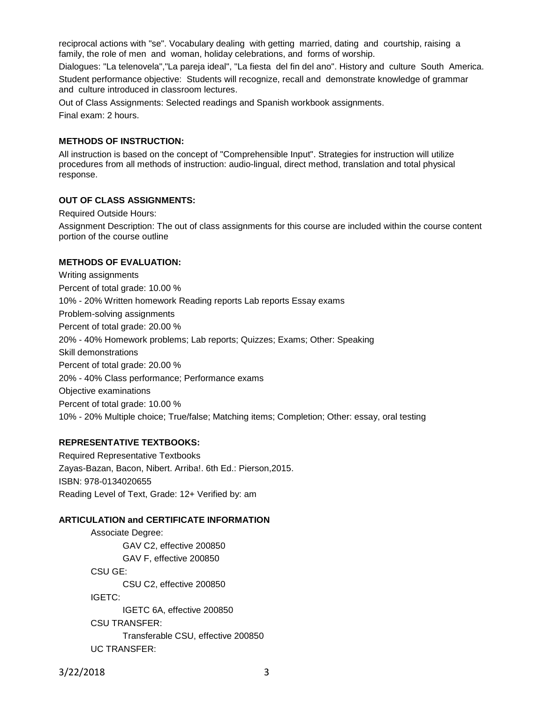reciprocal actions with "se". Vocabulary dealing with getting married, dating and courtship, raising a family, the role of men and woman, holiday celebrations, and forms of worship. Dialogues: "La telenovela","La pareja ideal", "La fiesta del fin del ano". History and culture South America.

Student performance objective: Students will recognize, recall and demonstrate knowledge of grammar and culture introduced in classroom lectures.

Out of Class Assignments: Selected readings and Spanish workbook assignments. Final exam: 2 hours.

### **METHODS OF INSTRUCTION:**

All instruction is based on the concept of "Comprehensible Input". Strategies for instruction will utilize procedures from all methods of instruction: audio-lingual, direct method, translation and total physical response.

### **OUT OF CLASS ASSIGNMENTS:**

Required Outside Hours:

Assignment Description: The out of class assignments for this course are included within the course content portion of the course outline

### **METHODS OF EVALUATION:**

Writing assignments Percent of total grade: 10.00 % 10% - 20% Written homework Reading reports Lab reports Essay exams Problem-solving assignments Percent of total grade: 20.00 % 20% - 40% Homework problems; Lab reports; Quizzes; Exams; Other: Speaking Skill demonstrations Percent of total grade: 20.00 % 20% - 40% Class performance; Performance exams Objective examinations Percent of total grade: 10.00 % 10% - 20% Multiple choice; True/false; Matching items; Completion; Other: essay, oral testing

## **REPRESENTATIVE TEXTBOOKS:**

Required Representative Textbooks Zayas-Bazan, Bacon, Nibert. Arriba!. 6th Ed.: Pierson,2015. ISBN: 978-0134020655 Reading Level of Text, Grade: 12+ Verified by: am

#### **ARTICULATION and CERTIFICATE INFORMATION**

Associate Degree: GAV C2, effective 200850 GAV F, effective 200850 CSU GE: CSU C2, effective 200850 IGETC: IGETC 6A, effective 200850 CSU TRANSFER: Transferable CSU, effective 200850 UC TRANSFER:

3/22/2018 3